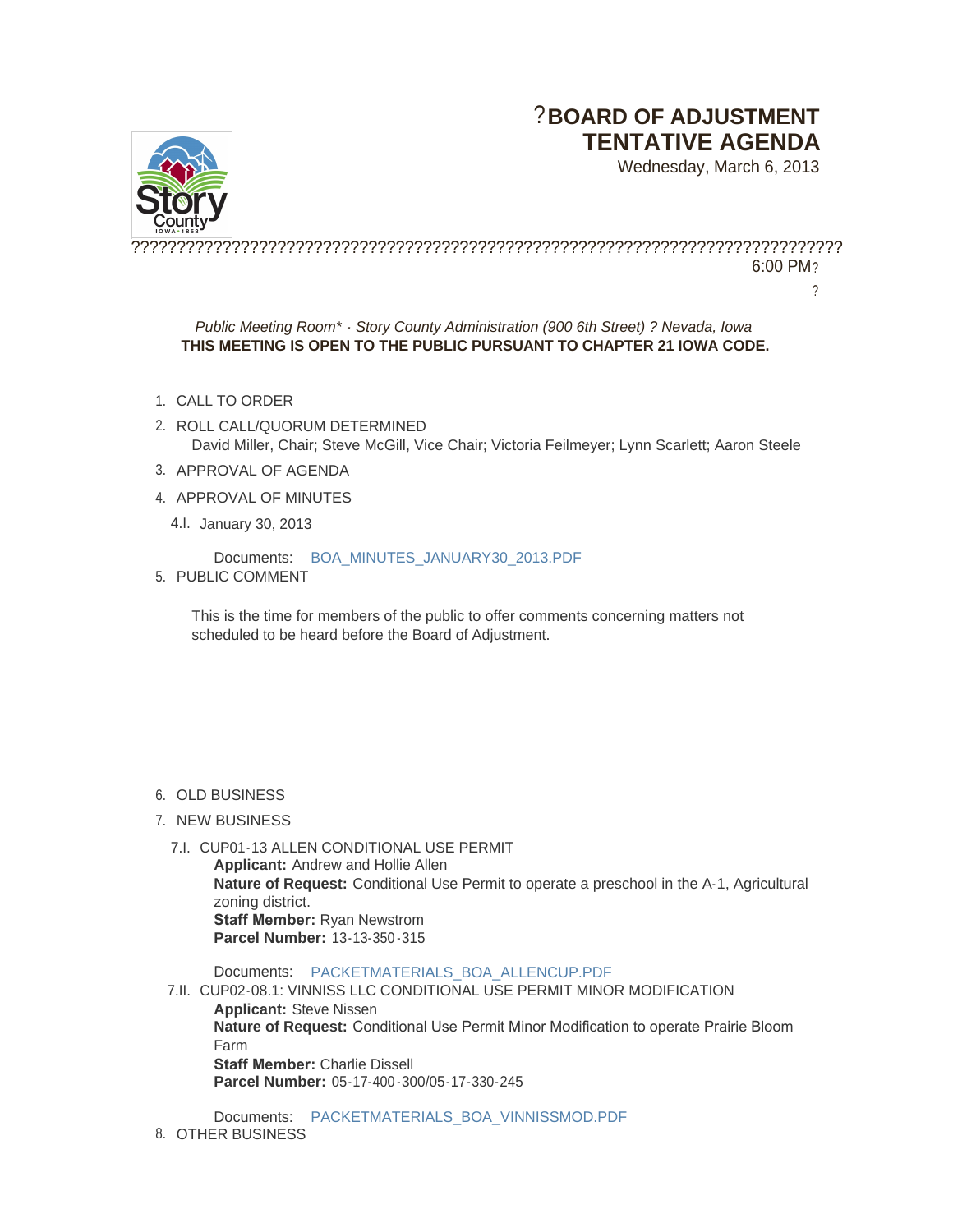# ?**BOARD OF ADJUSTMENT TENTATIVE AGENDA**

Wednesday, March 6, 2013



?????????????????????????????????????????????????????????????????????????????? 6:00 PM?

?

## *Public Meeting Room\* - Story County Administration (900 6th Street) ? Nevada, Iowa* **THIS MEETING IS OPEN TO THE PUBLIC PURSUANT TO CHAPTER 21 IOWA CODE.**

- 1. CALL TO ORDER
- 2. ROLL CALL/QUORUM DETERMINED David Miller, Chair; Steve McGill, Vice Chair; Victoria Feilmeyer; Lynn Scarlett; Aaron Steele
- 3. APPROVAL OF AGENDA
- 4. APPROVAL OF MINUTES
	- 4.I. January 30, 2013

Documents: [BOA\\_MINUTES\\_JANUARY30\\_2013.PDF](http://www.storycountyiowa.gov/Files/AgendaCenter/Items/1543/BOA_Minutes_January30_2013_201302221620059558.pdf)

5. PUBLIC COMMENT

This is the time for members of the public to offer comments concerning matters not scheduled to be heard before the Board of Adjustment.

## 6. OLD BUSINESS

## 7. NEW BUSINESS

7.I. CUP01-13 ALLEN CONDITIONAL USE PERMIT **Applicant:** Andrew and Hollie Allen **Nature of Request:** Conditional Use Permit to operate a preschool in the A-1, Agricultural zoning district. **Staff Member:** Ryan Newstrom **Parcel Number:** 13-13-350 -315

Documents: [PACKETMATERIALS\\_BOA\\_ALLENCUP.PDF](http://www.storycountyiowa.gov/Files/AgendaCenter/Items/1464/PacketMaterials_BOA_AllenCUP_201302281313496829.pdf)

7.II. CUP02-08.1: VINNISS LLC CONDITIONAL USE PERMIT MINOR MODIFICATION **Applicant:** Steve Nissen **Nature of Request:** Conditional Use Permit Minor Modification to operate Prairie Bloom Farm **Staff Member:** Charlie Dissell **Parcel Number:** 05-17-400 -300/05-17-330-245

Documents: [PACKETMATERIALS\\_BOA\\_VINNISSMOD.PDF](http://www.storycountyiowa.gov/Files/AgendaCenter/Items/1487/PacketMaterials_BOA_VinnissMOD_201302281429231695.pdf) 8. OTHER BUSINESS